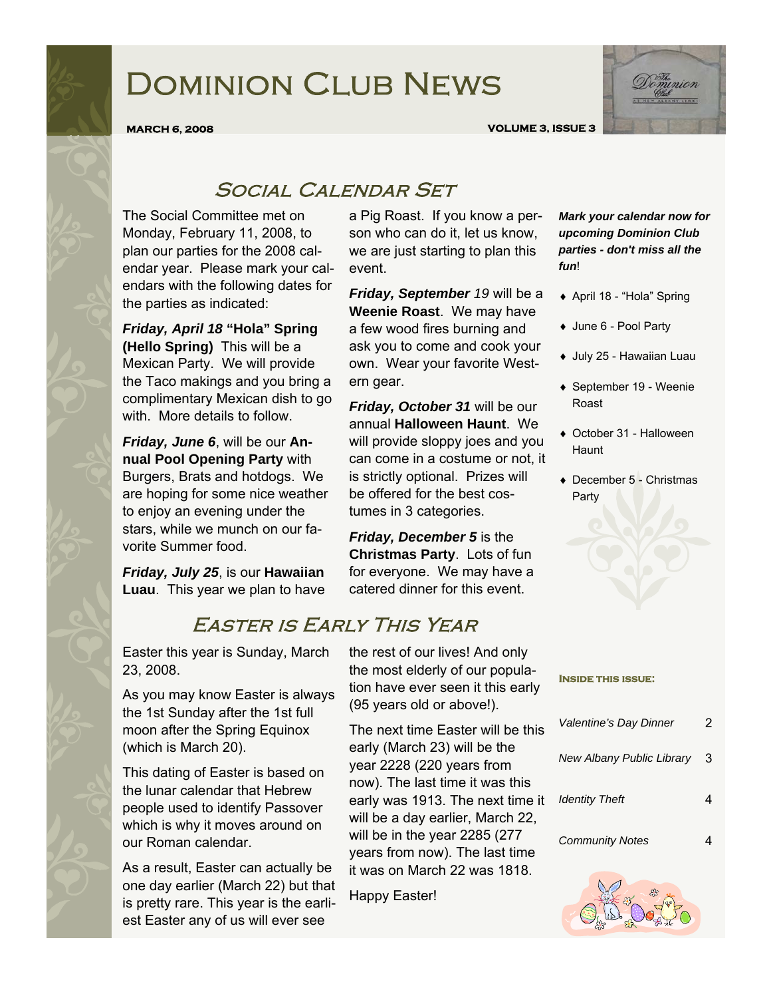# Dominion Club News



**MARCH 6, 2008 VOLUME 3, ISSUE 3** 

### SOCIAL CALENDAR SET

The Social Committee met on Monday, February 11, 2008, to plan our parties for the 2008 calendar year. Please mark your calendars with the following dates for the parties as indicated:

*Friday, April 18* **"Hola" Spring (Hello Spring)** This will be a Mexican Party. We will provide the Taco makings and you bring a complimentary Mexican dish to go with. More details to follow.

*Friday, June 6*, will be our **Annual Pool Opening Party** with Burgers, Brats and hotdogs. We are hoping for some nice weather to enjoy an evening under the stars, while we munch on our favorite Summer food.

*Friday, July 25*, is our **Hawaiian Luau**. This year we plan to have a Pig Roast. If you know a person who can do it, let us know, we are just starting to plan this event.

*Friday, September 19* will be a **Weenie Roast**. We may have a few wood fires burning and ask you to come and cook your own. Wear your favorite Western gear.

*Friday, October 31* will be our annual **Halloween Haunt**. We will provide sloppy joes and you can come in a costume or not, it is strictly optional. Prizes will be offered for the best costumes in 3 categories.

*Friday, December 5* is the **Christmas Party**. Lots of fun for everyone. We may have a catered dinner for this event.

## Easter is Early This Year

Easter this year is Sunday, March 23, 2008.

As you may know Easter is always the 1st Sunday after the 1st full moon after the Spring Equinox (which is March 20).

This dating of Easter is based on the lunar calendar that Hebrew people used to identify Passover which is why it moves around on our Roman calendar.

As a result, Easter can actually be one day earlier (March 22) but that is pretty rare. This year is the earliest Easter any of us will ever see

the rest of our lives! And only the most elderly of our population have ever seen it this early (95 years old or above!).

The next time Easter will be this early (March 23) will be the year 2228 (220 years from now). The last time it was this early was 1913. The next time it will be a day earlier, March 22, will be in the year 2285 (277 years from now). The last time it was on March 22 was 1818.

Happy Easter!

*Mark your calendar now for upcoming Dominion Club parties - don't miss all the fun*!

- ♦ April 18 "Hola" Spring
- ♦ June 6 Pool Party
- ♦ July 25 Hawaiian Luau
- ♦ September 19 Weenie Roast
- ♦ October 31 Halloween Haunt
- ♦ December 5 Christmas Party

| Valentine's Day Dinner    | 2 |
|---------------------------|---|
| New Albany Public Library | 3 |
| <b>Identity Theft</b>     |   |
| <b>Community Notes</b>    |   |
|                           |   |

**Inside this issue:** 

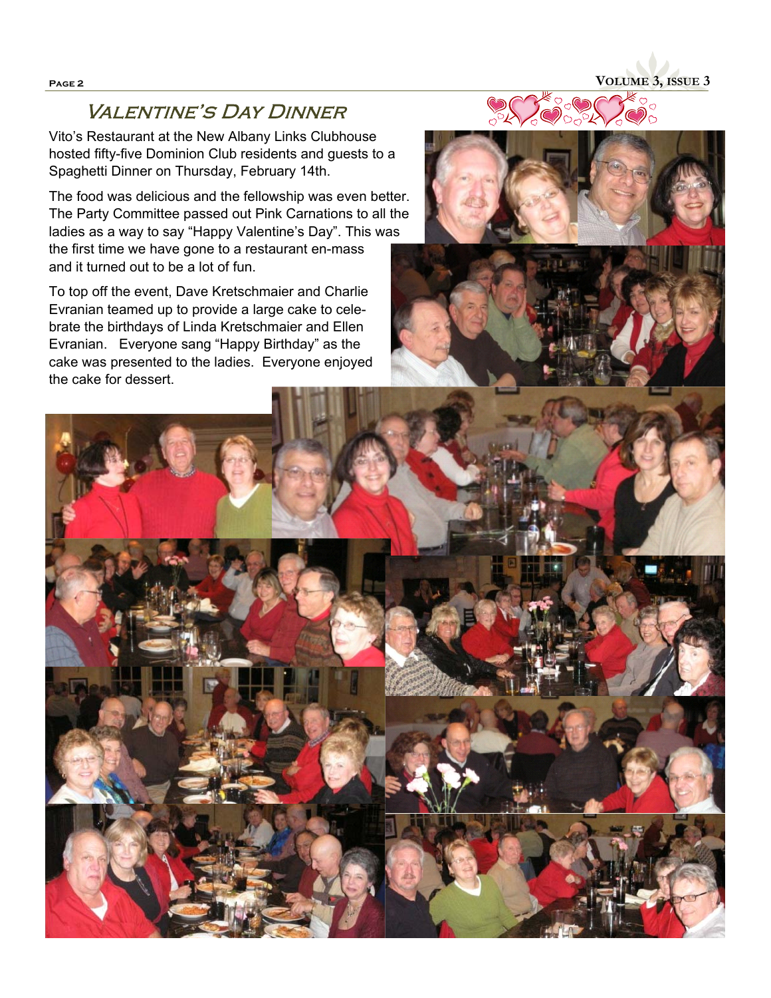### **VALENTINE'S DAY DINNER**

Vito's Restaurant at the New Albany Links Clubhouse hosted fifty-five Dominion Club residents and guests to a Spaghetti Dinner on Thursday, February 14th.

The food was delicious and the fellowship was even better. The Party Committee passed out Pink Carnations to all the ladies as a way to say "Happy Valentine's Day". This was the first time we have gone to a restaurant en-mass and it turned out to be a lot of fun.

To top off the event, Dave Kretschmaier and Charlie Evranian teamed up to provide a large cake to celebrate the birthdays of Linda Kretschmaier and Ellen Evranian. Everyone sang "Happy Birthday" as the cake was presented to the ladies. Everyone enjoyed the cake for dessert.





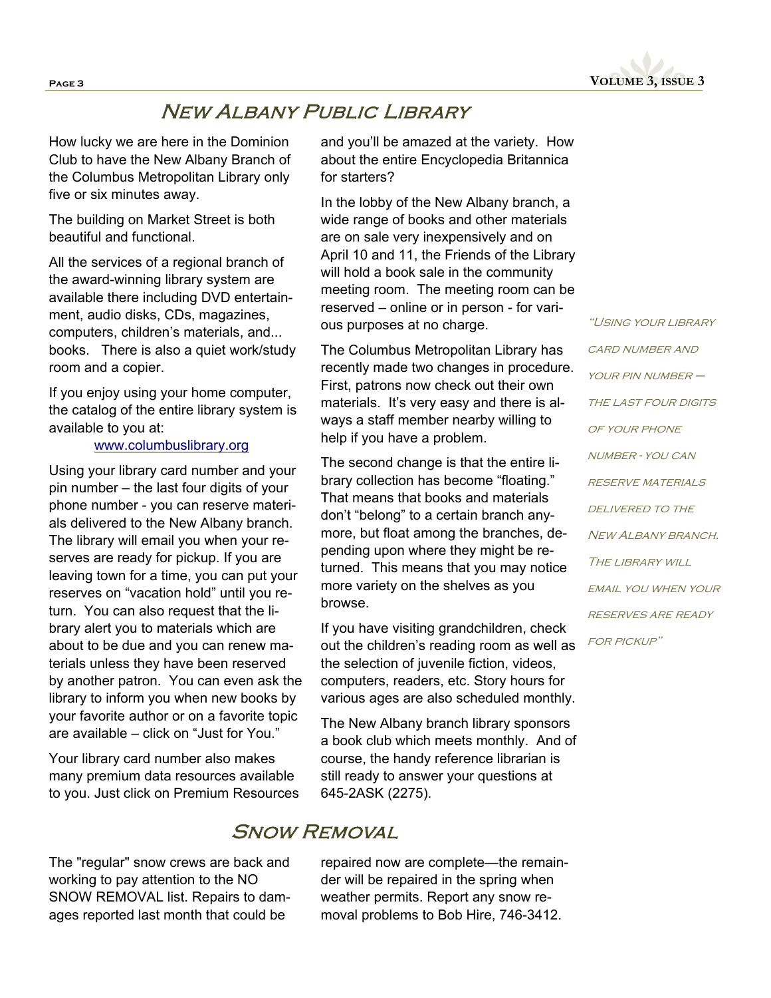

### New Albany Public Library

How lucky we are here in the Dominion Club to have the New Albany Branch of the Columbus Metropolitan Library only five or six minutes away.

The building on Market Street is both beautiful and functional.

All the services of a regional branch of the award-winning library system are available there including DVD entertainment, audio disks, CDs, magazines, computers, children's materials, and... books. There is also a quiet work/study room and a copier.

If you enjoy using your home computer, the catalog of the entire library system is available to you at:

#### www.columbuslibrary.org

Using your library card number and your pin number – the last four digits of your phone number - you can reserve materials delivered to the New Albany branch. The library will email you when your reserves are ready for pickup. If you are leaving town for a time, you can put your reserves on "vacation hold" until you return. You can also request that the library alert you to materials which are about to be due and you can renew materials unless they have been reserved by another patron. You can even ask the library to inform you when new books by your favorite author or on a favorite topic are available – click on "Just for You."

Your library card number also makes many premium data resources available to you. Just click on Premium Resources

The "regular" snow crews are back and working to pay attention to the NO SNOW REMOVAL list. Repairs to damages reported last month that could be

and you'll be amazed at the variety. How about the entire Encyclopedia Britannica for starters?

In the lobby of the New Albany branch, a wide range of books and other materials are on sale very inexpensively and on April 10 and 11, the Friends of the Library will hold a book sale in the community meeting room. The meeting room can be reserved – online or in person - for various purposes at no charge.

The Columbus Metropolitan Library has recently made two changes in procedure. First, patrons now check out their own materials. It's very easy and there is always a staff member nearby willing to help if you have a problem.

The second change is that the entire library collection has become "floating." That means that books and materials don't "belong" to a certain branch anymore, but float among the branches, depending upon where they might be returned. This means that you may notice more variety on the shelves as you browse.

If you have visiting grandchildren, check out the children's reading room as well as the selection of juvenile fiction, videos, computers, readers, etc. Story hours for various ages are also scheduled monthly.

The New Albany branch library sponsors a book club which meets monthly. And of course, the handy reference librarian is still ready to answer your questions at 645-2ASK (2275).

### **SNOW REMOVAL**

repaired now are complete—the remainder will be repaired in the spring when weather permits. Report any snow removal problems to Bob Hire, 746-3412.

"Using your library **CARD NUMBER AND** YOUR PIN NUMBER – THE LAST FOUR DIGITS OF YOUR PHONE number - you can reserve materials DELIVERED TO THE NEW ALBANY BRANCH. THE LIBRARY WILL email you when your reserves are ready for pickup"